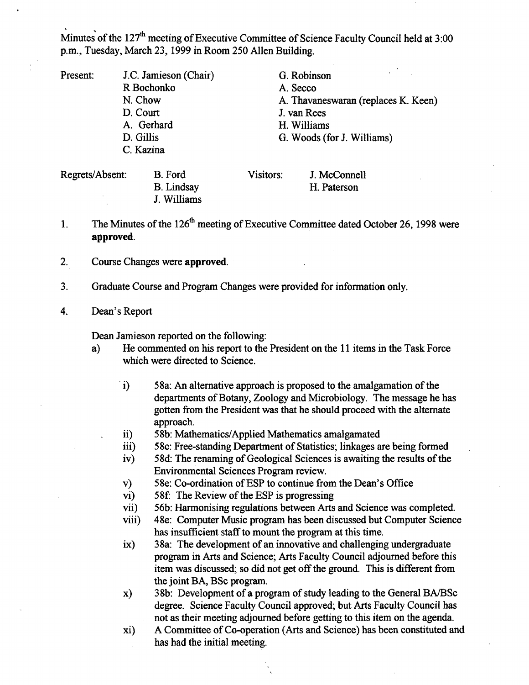Minutes of the 127<sup>th</sup> meeting of Executive Committee of Science Faculty Council held at 3:00 p.m., Tuesday, March 23, 1999 in Room *250* Allen Building.

- Present: J.C. Jamieson (Chair) R Bochonko N. Chow D. Court A. Gerhard D. Gillis C. Kazina Regrets/Absent: B. Ford G. Robinson A. Secco A. Thavaneswaran (replaces K. Keen) J. van Rees Williams G. Woods (for J. Williams) Visitors: J. McConnell
- The Minutes of the 126<sup>th</sup> meeting of Executive Committee dated October 26, 1998 were  $\mathbf{1}$ . **approved.**

H. Paterson

- $2.$ Course Changes were **approved.**
- Graduate Course and Program Changes were provided for information only.  $3.$
- Dean's Report 4.

Dean Jamieson reported on the following:

B. Lindsay J. Williams

- a) He commented on his report to the President on the 11 items in the Task Force which were directed to Science.
	- $i)$ 58a: An alternative approach is proposed to the amalgamation of the departments of Botany, Zoology and Microbiology. The message he has gotten from the President was that he should proceed with the alternate approach.
	- *5* 8b: Mathematics/Applied Mathematics amalgamated  $\mathbf{ii}$
	- iii) 58c: Free-standing Department of Statistics; linkages are being formed
	- 58d: The renaming of Geological Sciences is awaiting the results of the  $iv)$ Environmental Sciences Program review.
	- $\mathbf{v}$ 58e: Co-ordination of ESP to continue from the Dean's Office
	- 58f: The Review of the ESP is progressing vi)
	- *56b:* Harmonising regulations between Arts and Science was completed. vii)
	- 48e: Computer Music program has been discussed but Computer Science viii) has insufficient staff to mount the program at this time.
	- 38a: The development of an innovative and challenging undergraduate  $\mathbf{ix}$ program in Arts and Science; Arts Faculty Council adjourned before this item was discussed; so did not get off the ground. This is different from the joint BA, BSc program.
	- 38b: Development of a program of study leading to the General BA/BSc x) degree. Science Faculty Council approved; but Arts Faculty Council has not as their meeting adjourned before getting to this item on the agenda.
	- xi) A Committee of Co-operation (Arts and Science) has been constituted and has had the initial meeting.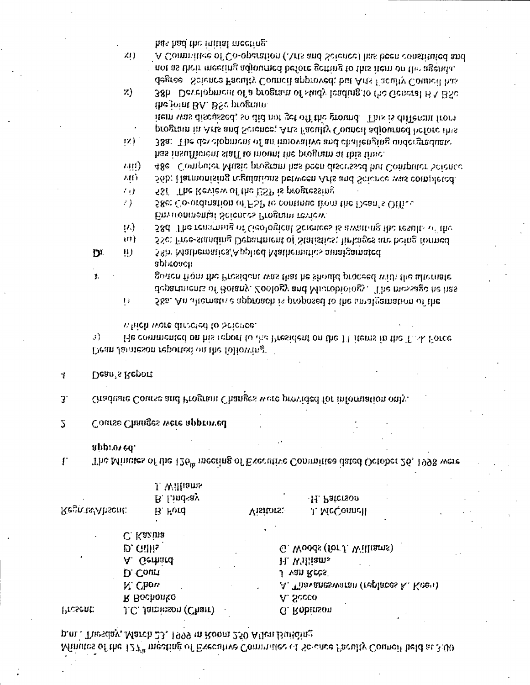p.n., Tuesday, March 23, 1999 in Room 250 Allen Building. Minutes of the  $127^n$  meeting of Executive Committee of Solonce Paculty Council held at 3:00

| ٠        | C. Kazina             | ٠ |                                     |
|----------|-----------------------|---|-------------------------------------|
|          | $D.$ Gillis           |   | G. Woods (for J. Williams)          |
|          | A. Gerhard            |   | H. Williams                         |
|          | D. Court              |   | J van Rees                          |
|          | N. Chow               |   | A. Thavaneswaran (replaces K. Keeu) |
|          | R Bochonko            |   | A. Secco                            |
| 'resent: | J.C. Jamieson (Charr) |   | G. Robinson                         |

approved.  $\mathbf{r}$ The Minutes of the  $126^{\mu}$  meeting of Executive Committee dated October 26, 1998 were

Visitors:

H. Paterson

J. McConnell

- Course Changes were approved  $\mathcal{L}$
- Graduate Course and Program Changes were provided for information only.  $3<sup>1</sup>$
- Dean's Report 4

Regrets/Absent:

 $\mathbf{I}$ .

Dean Jamieson reported on the following.

J. Williams B. Lindsay

B. Ford

- which were directed to beferee.  $\mathcal{L}$ He commented on his report to the President on the 11 items in the Task Force
- approach gorten from the President was that he should proceed with the afternate departments of Botany, Zoology and Microbiology. The message he has 58a. An alternative approach is proposed to the amalgamation of the  $\mathbf{1}$  )
- 58b: Mathematics/Applied Mathematics amalgamated  $\mathbf{u}$ ) DI.

Environmental Sciences Program review.

- $(2)$ 58d. The renaming of Geological Sciences is aivaiting the results of the UT) 58c: Free-standing Department of Statistics; linkages are being formed
- 2). 58e: Co-ordination of FSP to continue from the Dean's Office
- $\mathcal{L}(\mathbf{y})$ 581. The Review of the ESP is progressing
- **AID** 56b: Harmonising regulations between Arts and Science was completed.
- has insufficient staff to mount the program at this time.  $\mu$ iii) 48e Computer Music program has been discussed but Computer Science
- the joint BA, BSc program. item was discussed; so did not get off the ground. This is different from program in Arts and Science; Arts Faculty Council adjourned before this 38a: The development of an innovative and challenging undergraduate  $|X\rangle$
- A Committee of Co-operation (Arts and Science) has been constituted and not as their meeting adjourned before getting to this item on the agenda. degree Science Faculty Council approved; but Arts Faculty Council has  $Z$ 38b Development of a program of study leading to the General  $B \wedge B Sc$
- has had the initial meeting. ZIJ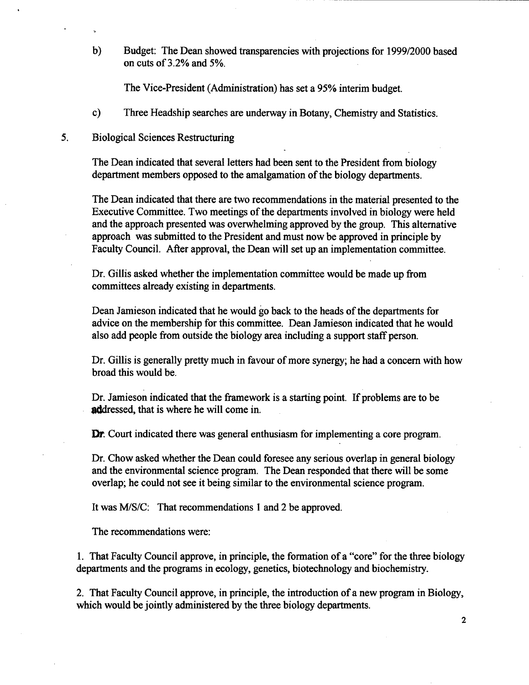$b)$ Budget: The Dean showed transparencies with projections for 1999/2000 based on cuts of 3.2% and *5%.* 

The Vice-President (Administration) has set a *95%* interim budget.

 $c)$ Three Headship searches are underway in Botany, Chemistry and Statistics.

## *5.* Biological Sciences Restructuring

The Dean indicated that several letters had been sent to the President from biology department members opposed to the amalgamation of the biology departments.

The Dean indicated that there are two recommendations in the material presented to the Executive Committee. Two meetings of the departments involved in biology were held and the approach presented was overwhelming approved by the group. This alternative approach was submitted to the President and must now be approved in principle by Faculty Council. After approval, the Dean will set up an implementation committee.

Dr. Gillis asked whether the implementation committee would be made up from committees already existing in departments.

Dean Jamieson indicated that he would go back to the heads of the departments for advice on the membership for this committee. Dean Jamieson indicated that he would also add people from outside the biology area including a support staff person.

Dr. Gillis is generally pretty much in favour of more synergy; he had a concern with how broad this would be.

Dr. Jamieson indicated that the framework is a starting point. If problems are to be addressed, that is where he will come in.

**Dr.** Court indicated there was general enthusiasm for implementing a core program.

Dr. Chow asked whether the Dean could foresee any serious overlap in general biology and the environmental science program. The Dean responded that there will be some overlap; he could not see it being similar to the environmental science program.

It was M/S/C: That recommendations 1 and 2 be approved.

The recommendations were:

1. That Faculty Council approve, in principle, the formation of a "core" for the three biology departments and the programs in ecology, genetics, biotechnology and biochemistry.

2. That Faculty Council approve, in principle, the introduction of a new program in Biology, which would be jointly administered by the three biology departments.

 $\overline{2}$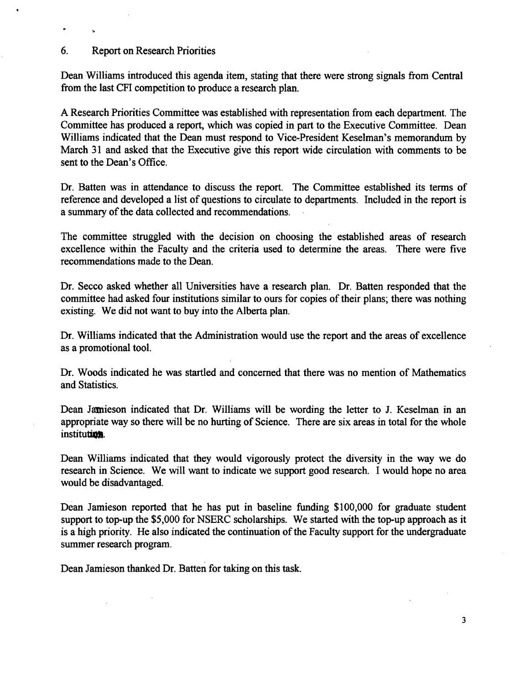# 6. Report on Research Priorities

 $\ddot{\phantom{0}}$ 

Dean Williams introduced this agenda item, stating that there were strong signals from Central from the last CFI competition to produce a research plan.

A Research Priorities Committee was established with representation from each department. The Committee has produced a report, which was copied in part to the Executive Committee. Dean Williams indicated that the Dean must respond to Vice-President Keselman's memorandum by March 31 and asked that the Executive give this report wide circulation with comments to be sent to the Dean's Office.

Dr. Batten was in attendance to discuss the report. The Committee established its terms of reference and developed a list of questions to circulate to departments. Included in the report is a summary of the data collected and recommendations.

The committee struggled with the decision on choosing the established areas of research excellence within the Faculty and the criteria used to determine the areas. There were five recommendations made to the Dean.

Dr. Secco asked whether all Universities have a research plan. Dr. Batten responded that the committee had asked four institutions similar to ours for copies of their plans; there was nothing existing. We did not want to buy into the Alberta plan.

Dr. Williams indicated that the Administration would use the report and the areas of excellence as a promotional tool.

Dr. Woods indicated he was startled and concerned that there was no mention of Mathematics and Statistics.

Dean Jamieson indicated that Dr. Williams will be wording the letter to J. Keselman in an appropriate way so there will be no hurting of Science. There are six areas in total for the whole institution.

Dean Williams indicated that they would vigorously protect the diversity in the way we do research in Science. We will want to indicate we support good research. I would hope no area would be disadvantaged.

Dean Jamieson reported that he has put in baseline funding \$100,000 for graduate student support to top-up the \$5,000 for NSERC scholarships. We started with the top-up approach as it is a high priority. He also indicated the continuation of the Faculty support for the undergraduate summer research program.

Dean Jamieson thanked Dr. Batten for taking on this task.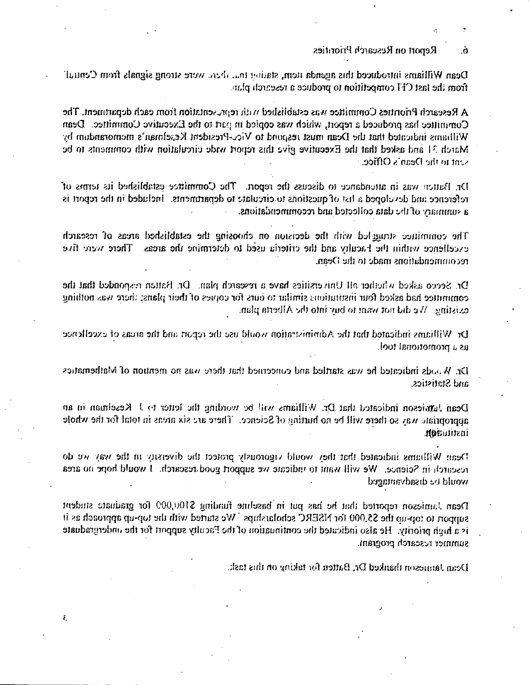Report on Research Priorities Ō.

Dean Williams introduced this agenda item, station to a dural were strong signals from Central' from the last CFI competition to produce a research plan.

A Research Priorities Committee was established with representation from each department. The Committee has produced a report, which was copied in part to the Executive Committee. Dean Williams indicated that the Dean must respond to Vicc-President Keselman's memorandum by March 31 and asked that the Executive give this report wide circulation with comments to be sent to the Dean's Office.

Dr. Batten was in attendance to discuss the report. The Committee established its terms of reference and devoloped a list of questions to circulate to departments. Included in the report is a summary of the data collected and recommendations.

The committee struggled with the decision on choosing the established areas of research There were five excellence within the Faculty and the criteria used to determine the areas recommendations made to the Dean.

Dr. Secco asked whether all Universities have a research plan. Dr. Battan responded that the commutee had asked four institutions similar to ours for copies of their plans; there was nothing existing. We did not want to buy into the Alberta plan.

Dr. Williams indicated that the Administration would use the report and the areas of excellence. as a promotional tool.

Dr. Woods indicated he was startled and concerned that there was no mention of Mathematics and Statistics.

Dean Jamieson indicated that Dr. Williams will be wording the letter to J. Keselman in an appropriate way so there will be no hurting of Science. There are six areas in total for the whole nstituadh.

Dean Williams indicated that they would vigorously protect the diversity in the way we do research in Science. We will want to indicate we support good research. I would hope no area would be disadvantaged.

Dean Jamieson reported that he has put in baseline funding \$100,009 for graduate student support to tor-up the \$5,000 for NSERC scholarships. We started with the top-up approach as it is a high priority. He also indicated the continuation of the Faculty support for the undergraduate summer research program.

 $\boldsymbol{\xi}$ 

Dean Jamieson thanked Dr, Batten for taking on this task.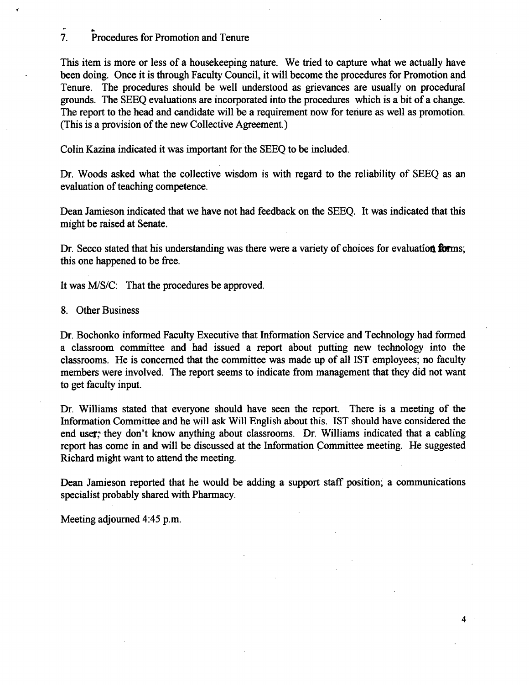### $\overline{7}$ . Procedures for Promotion and Tenure

This item is more or less of a housekeeping nature. We tried to capture what we actually have been doing. Once it is through Faculty Council, it will become the procedures for Promotion and Tenure. The procedures should be well understood as grievances are usually on procedural grounds. The SEEQ evaluations are incorporated into the procedures which is a bit of a change. The report to the head and candidate will be a requirement now for tenure as well as promotion. (This is a provision of the new Collective Agreement.)

Colin Kazina indicated it was important for the SEEQ to be included.

Dr. Woods asked what the collective wisdom is with regard to the reliability of SEEQ as an evaluation of teaching competence.

Dean Jamieson indicated that we have not had feedback on the SEEQ. It was indicated that this might be raised at Senate.

Dr. Secco stated that his understanding was there were a variety of choices for evaluation forms; this one happened to be free.

It was M/S/C: That the procedures be approved.

Other Business

Dr. Bochonko informed Faculty Executive that Information Service and Technology had formed a classroom committee and had issued a report about putting new technology into the classrooms. He is concerned that the committee was made up of all 1ST employees; no faculty members were involved. The report seems to indicate from management that they did not want to get faculty input.

Dr. Williams stated that everyone should have seen the report. There is a meeting of the Information Committee and he will ask Will English about this. 1ST should have considered the end user; they don't know anything about classrooms. Dr. Williams indicated that a cabling report has come in and will be discussed at the Information committee meeting. He suggested Richard might want to attend the meeting.

Dean Jamieson reported that he would be adding a support staff position; a communications specialist probably shared with Pharmacy.

4

Meeting adjourned *4:45* p.m.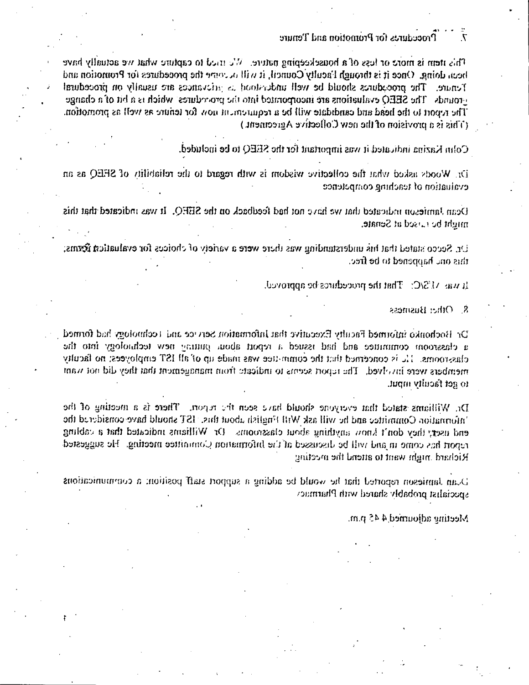#### Procedures for Promotion and Tenure  $\overline{\mathcal{N}}$

This item is more or less of a housekeeping nature. We tried to capture what we actually have been doing. Once it is through Faculty Council, it will occorre the procedures for Promotion and Fenare. The procedures should be well understood as arievances are usually on procedural erounds. The SEEQ evaluations are incorporated into the procedures' which is a bit of a change The report to the head and candidate will be a requirement now for tenure as well as promotion. (This is a provision of the new Collective Agreement.)

Colin Kazina indicated it was important for the SEEQ to be included.

Dr. Woods asked what the collective wisdom is with regard to the reliability of SEEQ as an evaluation of teaching competence.

Dean Jamieson indicated that we have not had feedback on the SEEQ. It was indicated that this might be raised at Senate.

Dr. Secco stated that his understanding was there were a variety of choices for evaluatica forms; this one happened to be free.

It was  $\Delta ESC$ . That the procedures be approved.

 $\mathbf{\hat{S}}$ . Other Business

Dr Bochonko informed Faculty Executive that Information Service and Technology had formed a classroom commutee and had issued a report about putting new technology into the classrooms. The is concerned that the committee was made up of all IST employees; no faculty members were involved. The report seems to indicate from management that they did not want to get faculty mput.

Dr. Williams stated that everyone should have seen the report. There is a meeting of the information Committee and he will ask Will Fuglish about this. IST should have considered the end user, they don't know anything about classrooms. Or Williams indicated that a cabling report has come in and will be discussed at the Information Committée meeting. He suggested Richard much want to attend the meeting

D, an Jamieson reported that he would be adding a support staff position; a communications specialist probably shared with Pharmacy

Meeting adjourned  $4.45$  p.m.